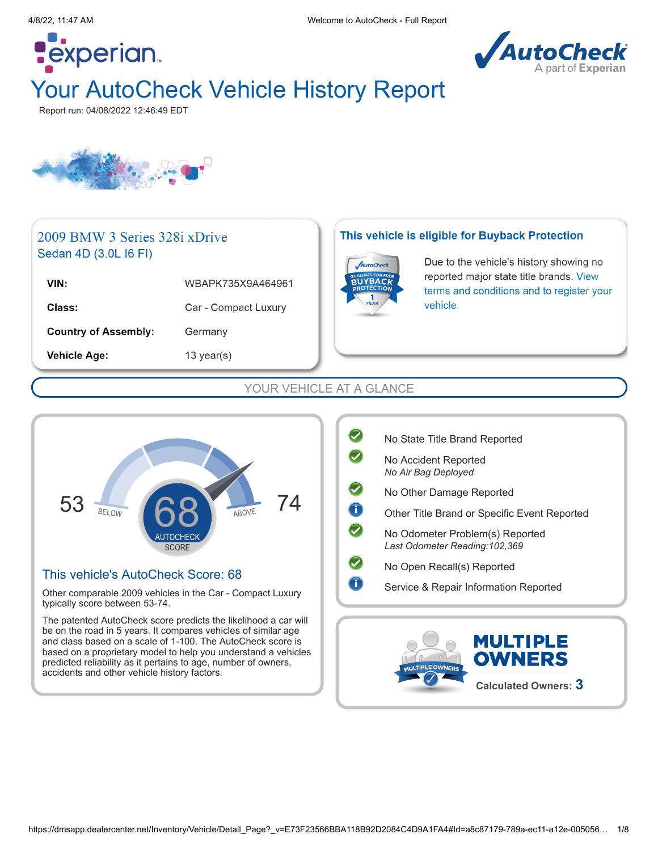

# Your AutoCheck Vehicle History Report

Report run: 04/08/2022 12:46:49 EDT

**Pexperian** 



### 2009 BMW 3 Series 328i xDrive Sedan 4D (3.0L I6 FI)

| VIN:                        | WBAPK735X9A464961    |
|-----------------------------|----------------------|
| Class:                      | Car - Compact Luxury |
| <b>Country of Assembly:</b> | Germany              |
| <b>Vehicle Age:</b>         | 13 year(s)           |

#### This vehicle is eligible for Buyback Protection



Due to the vehicle's history showing no reported major state title brands. View terms and conditions and to register your vehicle.

#### YOUR VEHICLE AT A GLANCE



#### This vehicle's AutoCheck Score: 68

Other comparable 2009 vehicles in the Car - Compact Luxury typically score between 53-74.

The patented AutoCheck score predicts the likelihood a car will be on the road in 5 years. It compares vehicles of similar age and class based on a scale of 1-100. The AutoCheck score is based on a proprietary model to help you understand a vehicles predicted reliability as it pertains to age, number of owners, accidents and other vehicle history factors.

|   | No State Title Brand Reported                                      |
|---|--------------------------------------------------------------------|
|   | No Accident Reported<br>No Air Bag Deployed                        |
|   | No Other Damage Reported                                           |
| T | Other Title Brand or Specific Event Reported                       |
|   | No Odometer Problem(s) Reported<br>Last Odometer Reading: 102, 369 |
|   | No Open Recall(s) Reported                                         |
|   | Service & Repair Information Reported                              |
|   |                                                                    |

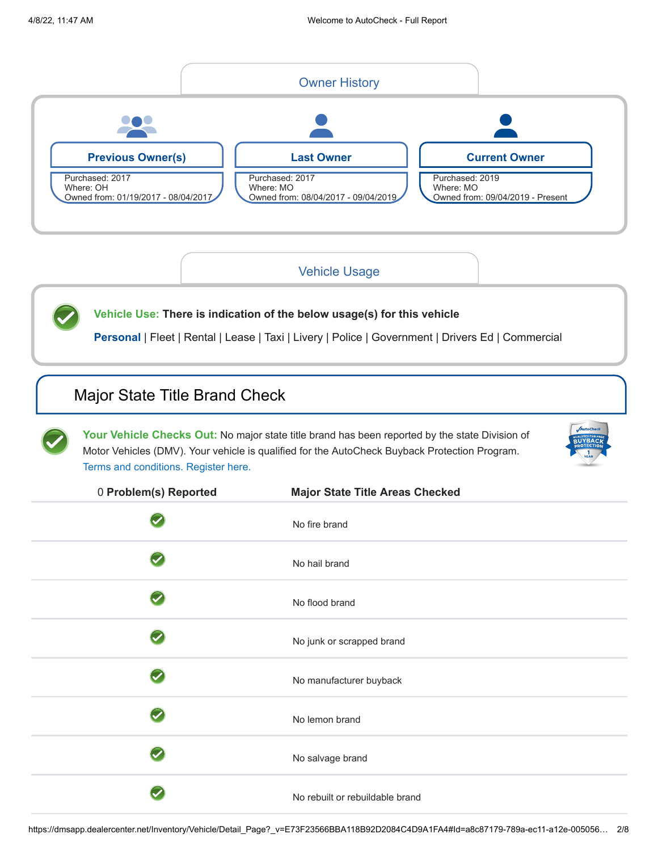<span id="page-1-1"></span>

### [Vehicle Usage](#page-1-2)

<span id="page-1-2"></span>**Vehicle Use: There is indication of the below usage(s) for this vehicle** Personal | Fleet | Rental | Lease | Taxi | Livery | Police | Government | Drivers Ed | Commercial

### <span id="page-1-0"></span>[Major State Title Brand Check](#page-1-3)

**Your Vehicle Checks Out:** No major state title brand has been reported by the state Division of Motor Vehicles (DMV). Your vehicle is qualified for the AutoCheck Buyback Protection Program. [Terms and conditions.](http://www.autocheck.com/vehiclehistory/autocheck/en/buyback-protection) Register here.



<span id="page-1-3"></span>

| 0 Problem(s) Reported      | <b>Major State Title Areas Checked</b> |
|----------------------------|----------------------------------------|
|                            | No fire brand                          |
|                            | No hail brand                          |
|                            | No flood brand                         |
|                            | No junk or scrapped brand              |
| $\boldsymbol{\mathcal{J}}$ | No manufacturer buyback                |
|                            | No lemon brand                         |
|                            | No salvage brand                       |
|                            | No rebuilt or rebuildable brand        |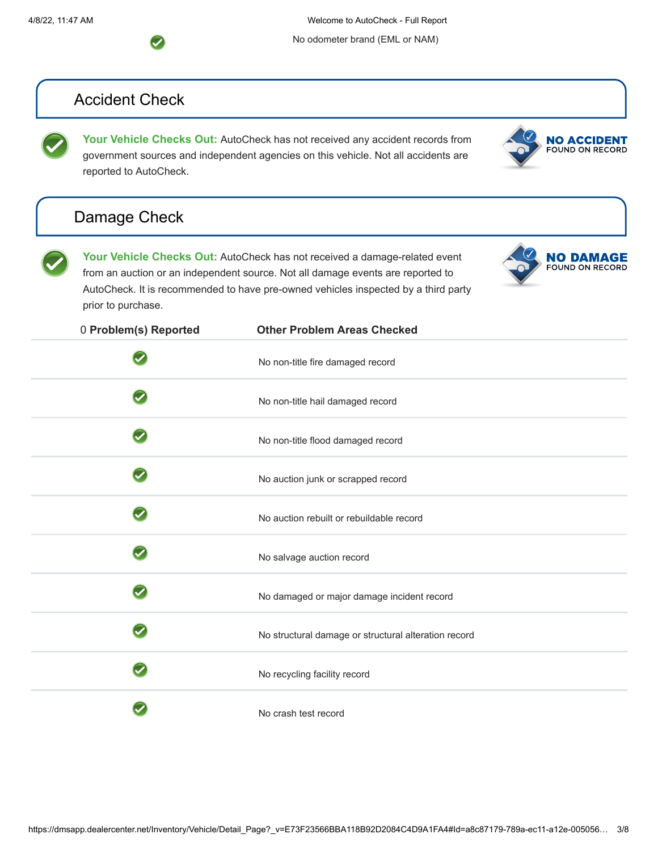4/8/22, 11:47 AM Welcome to AutoCheck - Full Report

No odometer brand (EML or NAM)

# <span id="page-2-0"></span>Accident Check

Your Vehicle Checks Out: AutoCheck has not received any accident records from government sources and independent agencies on this vehicle. Not all accidents are reported to AutoCheck.

# <span id="page-2-1"></span>[Damage Check](#page-2-2)



**NO ACCIDENT**<br>FOUND ON RECORD

| Your Vehicle Checks Out: AutoCheck has not received a damage-related event         |
|------------------------------------------------------------------------------------|
| from an auction or an independent source. Not all damage events are reported to    |
| AutoCheck. It is recommended to have pre-owned vehicles inspected by a third party |
| prior to purchase.                                                                 |
|                                                                                    |

<span id="page-2-2"></span>

| 0 Problem(s) Reported | <b>Other Problem Areas Checked</b>                   |
|-----------------------|------------------------------------------------------|
|                       | No non-title fire damaged record                     |
|                       | No non-title hail damaged record                     |
|                       | No non-title flood damaged record                    |
|                       | No auction junk or scrapped record                   |
|                       | No auction rebuilt or rebuildable record             |
|                       | No salvage auction record                            |
|                       | No damaged or major damage incident record           |
|                       | No structural damage or structural alteration record |
|                       | No recycling facility record                         |
|                       | No crash test record                                 |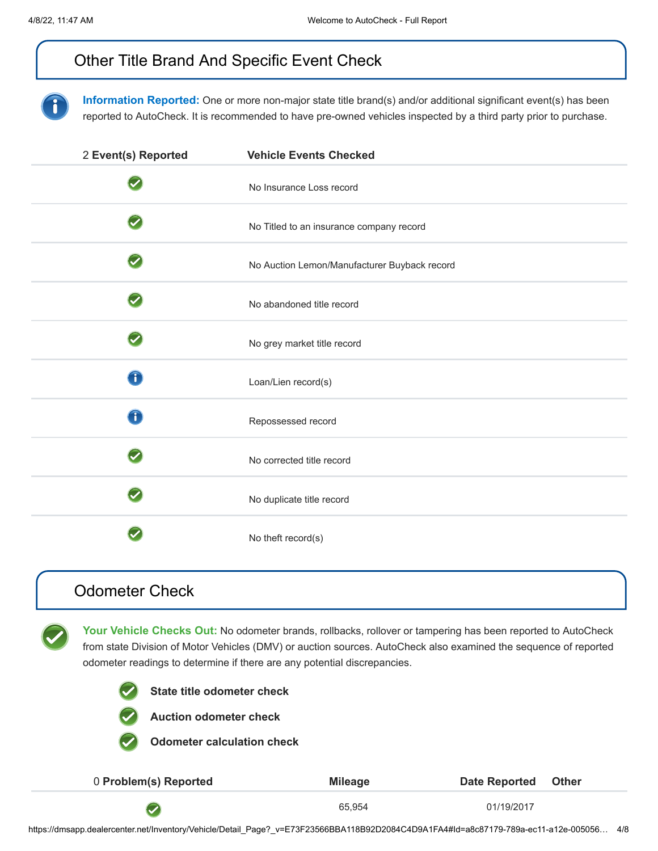# <span id="page-3-0"></span>[Other Title Brand And Specific Event Check](#page-3-2)

**Information Reported:** One or more non-major state title brand(s) and/or additional significant event(s) has been reported to AutoCheck. It is recommended to have pre-owned vehicles inspected by a third party prior to purchase.

<span id="page-3-2"></span>

| 2 Event(s) Reported | <b>Vehicle Events Checked</b>                |
|---------------------|----------------------------------------------|
|                     | No Insurance Loss record                     |
|                     | No Titled to an insurance company record     |
|                     | No Auction Lemon/Manufacturer Buyback record |
|                     | No abandoned title record                    |
|                     | No grey market title record                  |
| T                   | Loan/Lien record(s)                          |
| T                   | Repossessed record                           |
|                     | No corrected title record                    |
|                     | No duplicate title record                    |
|                     | No theft record(s)                           |

### <span id="page-3-1"></span>[Odometer Check](#page-3-3)

**Your Vehicle Checks Out:** No odometer brands, rollbacks, rollover or tampering has been reported to AutoCheck from state Division of Motor Vehicles (DMV) or auction sources. AutoCheck also examined the sequence of reported odometer readings to determine if there are any potential discrepancies.



**State title odometer check**



**Auction odometer check**

**Odometer calculation check**

<span id="page-3-3"></span>

| 0 Problem(s) Reported | <b>Mileage</b> | Date Reported Other |  |
|-----------------------|----------------|---------------------|--|
|                       | 65.954         | 01/19/2017          |  |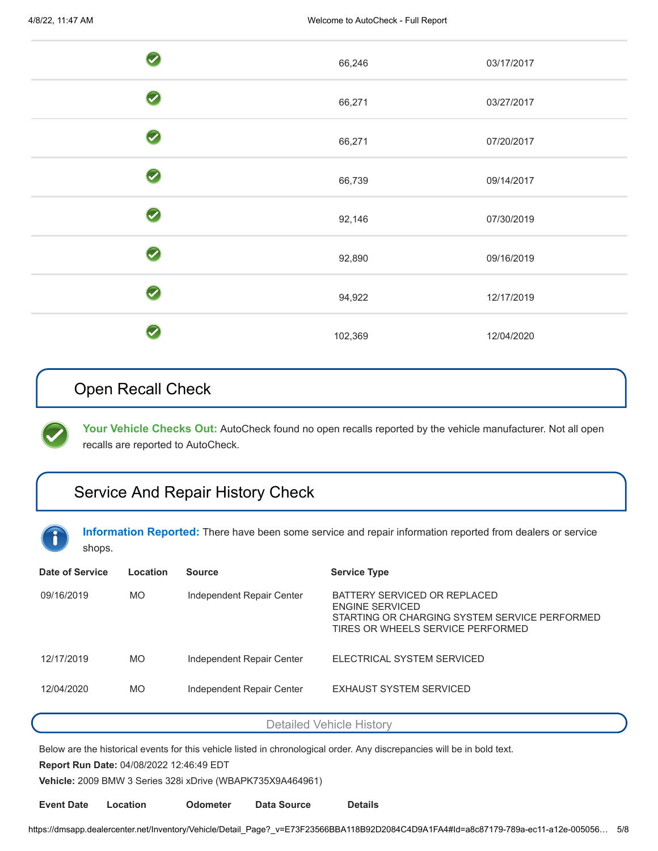|                            | 66,246  | 03/17/2017 |
|----------------------------|---------|------------|
| $\overline{\mathscr{S}}$   | 66,271  | 03/27/2017 |
| $\boldsymbol{\mathcal{F}}$ | 66,271  | 07/20/2017 |
|                            | 66,739  | 09/14/2017 |
|                            | 92,146  | 07/30/2019 |
|                            | 92,890  | 09/16/2019 |
|                            | 94,922  | 12/17/2019 |
|                            | 102,369 | 12/04/2020 |

# <span id="page-4-0"></span>Open Recall Check

Your Vehicle Checks Out: AutoCheck found no open recalls reported by the vehicle manufacturer. Not all open recalls are reported to AutoCheck.

# <span id="page-4-1"></span>[Service And Repair History Check](#page-4-2)

**Information Reported:** There have been some service and repair information reported from dealers or service shops.

<span id="page-4-2"></span>

| Date of Service | Location  | <b>Source</b>             | <b>Service Type</b>                                                                                                                   |
|-----------------|-----------|---------------------------|---------------------------------------------------------------------------------------------------------------------------------------|
| 09/16/2019      | <b>MO</b> | Independent Repair Center | BATTERY SERVICED OR REPLACED<br>ENGINE SERVICED<br>STARTING OR CHARGING SYSTEM SERVICE PERFORMED<br>TIRES OR WHEELS SERVICE PERFORMED |
| 12/17/2019      | <b>MO</b> | Independent Repair Center | ELECTRICAL SYSTEM SERVICED                                                                                                            |
| 12/04/2020      | <b>MO</b> | Independent Repair Center | EXHAUST SYSTEM SERVICED                                                                                                               |

[Detailed Vehicle History](#page-4-3)

Below are the historical events for this vehicle listed in chronological order. Any discrepancies will be in bold text.

**Report Run Date:** 04/08/2022 12:46:49 EDT

**Vehicle:** 2009 BMW 3 Series 328i xDrive (WBAPK735X9A464961)

<span id="page-4-3"></span>**Event Date Location Odometer Data Source Details**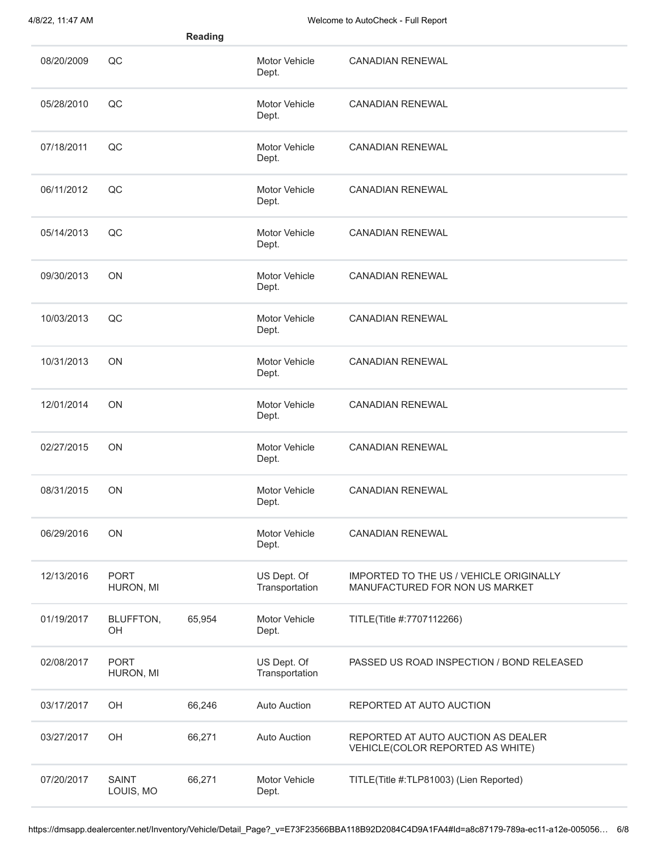|            |                           | <b>Reading</b> |                               |                                                                           |
|------------|---------------------------|----------------|-------------------------------|---------------------------------------------------------------------------|
| 08/20/2009 | QC                        |                | Motor Vehicle<br>Dept.        | <b>CANADIAN RENEWAL</b>                                                   |
| 05/28/2010 | QC                        |                | Motor Vehicle<br>Dept.        | <b>CANADIAN RENEWAL</b>                                                   |
| 07/18/2011 | QC                        |                | <b>Motor Vehicle</b><br>Dept. | <b>CANADIAN RENEWAL</b>                                                   |
| 06/11/2012 | QC                        |                | Motor Vehicle<br>Dept.        | <b>CANADIAN RENEWAL</b>                                                   |
| 05/14/2013 | QC                        |                | Motor Vehicle<br>Dept.        | <b>CANADIAN RENEWAL</b>                                                   |
| 09/30/2013 | ON                        |                | Motor Vehicle<br>Dept.        | <b>CANADIAN RENEWAL</b>                                                   |
| 10/03/2013 | QC                        |                | Motor Vehicle<br>Dept.        | <b>CANADIAN RENEWAL</b>                                                   |
| 10/31/2013 | ON                        |                | Motor Vehicle<br>Dept.        | <b>CANADIAN RENEWAL</b>                                                   |
| 12/01/2014 | ON                        |                | Motor Vehicle<br>Dept.        | <b>CANADIAN RENEWAL</b>                                                   |
| 02/27/2015 | <b>ON</b>                 |                | Motor Vehicle<br>Dept.        | <b>CANADIAN RENEWAL</b>                                                   |
| 08/31/2015 | <b>ON</b>                 |                | Motor Vehicle<br>Dept.        | <b>CANADIAN RENEWAL</b>                                                   |
| 06/29/2016 | ON                        |                | Motor Vehicle<br>Dept.        | <b>CANADIAN RENEWAL</b>                                                   |
| 12/13/2016 | <b>PORT</b><br>HURON, MI  |                | US Dept. Of<br>Transportation | IMPORTED TO THE US / VEHICLE ORIGINALLY<br>MANUFACTURED FOR NON US MARKET |
| 01/19/2017 | BLUFFTON,<br>OH           | 65,954         | Motor Vehicle<br>Dept.        | TITLE(Title #:7707112266)                                                 |
| 02/08/2017 | <b>PORT</b><br>HURON, MI  |                | US Dept. Of<br>Transportation | PASSED US ROAD INSPECTION / BOND RELEASED                                 |
| 03/17/2017 | OH                        | 66,246         | <b>Auto Auction</b>           | REPORTED AT AUTO AUCTION                                                  |
| 03/27/2017 | OH                        | 66,271         | <b>Auto Auction</b>           | REPORTED AT AUTO AUCTION AS DEALER<br>VEHICLE(COLOR REPORTED AS WHITE)    |
| 07/20/2017 | <b>SAINT</b><br>LOUIS, MO | 66,271         | Motor Vehicle<br>Dept.        | TITLE(Title #:TLP81003) (Lien Reported)                                   |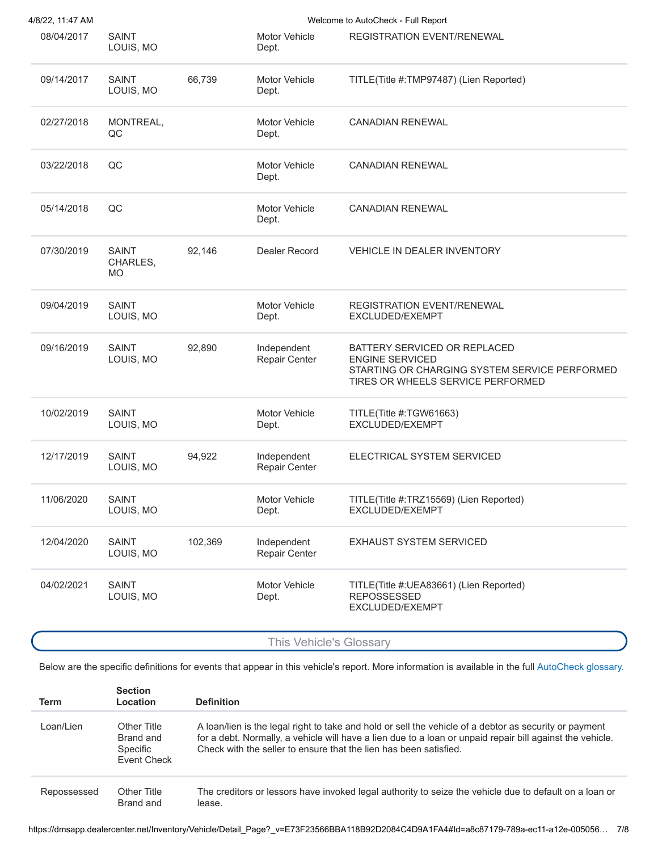| 4/8/22, 11:47 AM |                                       |         |                               | Welcome to AutoCheck - Full Report                                                                                                           |
|------------------|---------------------------------------|---------|-------------------------------|----------------------------------------------------------------------------------------------------------------------------------------------|
| 08/04/2017       | <b>SAINT</b><br>LOUIS, MO             |         | <b>Motor Vehicle</b><br>Dept. | REGISTRATION EVENT/RENEWAL                                                                                                                   |
| 09/14/2017       | <b>SAINT</b><br>LOUIS, MO             | 66,739  | <b>Motor Vehicle</b><br>Dept. | TITLE(Title #:TMP97487) (Lien Reported)                                                                                                      |
| 02/27/2018       | MONTREAL,<br>QC                       |         | Motor Vehicle<br>Dept.        | <b>CANADIAN RENEWAL</b>                                                                                                                      |
| 03/22/2018       | QC                                    |         | Motor Vehicle<br>Dept.        | <b>CANADIAN RENEWAL</b>                                                                                                                      |
| 05/14/2018       | QC                                    |         | <b>Motor Vehicle</b><br>Dept. | <b>CANADIAN RENEWAL</b>                                                                                                                      |
| 07/30/2019       | <b>SAINT</b><br>CHARLES,<br><b>MO</b> | 92,146  | <b>Dealer Record</b>          | <b>VEHICLE IN DEALER INVENTORY</b>                                                                                                           |
| 09/04/2019       | <b>SAINT</b><br>LOUIS, MO             |         | <b>Motor Vehicle</b><br>Dept. | <b>REGISTRATION EVENT/RENEWAL</b><br>EXCLUDED/EXEMPT                                                                                         |
| 09/16/2019       | <b>SAINT</b><br>LOUIS, MO             | 92,890  | Independent<br>Repair Center  | BATTERY SERVICED OR REPLACED<br><b>ENGINE SERVICED</b><br>STARTING OR CHARGING SYSTEM SERVICE PERFORMED<br>TIRES OR WHEELS SERVICE PERFORMED |
| 10/02/2019       | <b>SAINT</b><br>LOUIS, MO             |         | Motor Vehicle<br>Dept.        | TITLE(Title #:TGW61663)<br>EXCLUDED/EXEMPT                                                                                                   |
| 12/17/2019       | <b>SAINT</b><br>LOUIS, MO             | 94,922  | Independent<br>Repair Center  | ELECTRICAL SYSTEM SERVICED                                                                                                                   |
| 11/06/2020       | SAINT<br>LOUIS, MO                    |         | Motor Vehicle<br>Dept.        | TITLE(Title #:TRZ15569) (Lien Reported)<br>EXCLUDED/EXEMPT                                                                                   |
| 12/04/2020       | <b>SAINT</b><br>LOUIS, MO             | 102,369 | Independent<br>Repair Center  | <b>EXHAUST SYSTEM SERVICED</b>                                                                                                               |
| 04/02/2021       | <b>SAINT</b><br>LOUIS, MO             |         | <b>Motor Vehicle</b><br>Dept. | TITLE(Title #: UEA83661) (Lien Reported)<br><b>REPOSSESSED</b><br>EXCLUDED/EXEMPT                                                            |
|                  |                                       |         |                               |                                                                                                                                              |

This Vehicle's Glossary

Below are the specific definitions for events that appear in this vehicle's report. More information is available in the full [AutoCheck glossary.](https://www.autocheck.com/members/freelink_glossary.do)

| Term        | <b>Section</b><br>Location                          | <b>Definition</b>                                                                                                                                                                                                                                                                        |
|-------------|-----------------------------------------------------|------------------------------------------------------------------------------------------------------------------------------------------------------------------------------------------------------------------------------------------------------------------------------------------|
| I oan/Lien  | Other Title<br>Brand and<br>Specific<br>Event Check | A loan/lien is the legal right to take and hold or sell the vehicle of a debtor as security or payment<br>for a debt. Normally, a vehicle will have a lien due to a loan or unpaid repair bill against the vehicle.<br>Check with the seller to ensure that the lien has been satisfied. |
| Repossessed | Other Title<br>Brand and                            | The creditors or lessors have invoked legal authority to seize the vehicle due to default on a loan or<br>lease.                                                                                                                                                                         |

https://dmsapp.dealercenter.net/Inventory/Vehicle/Detail\_Page?\_v=E73F23566BBA118B92D2084C4D9A1FA4#Id=a8c87179-789a-ec11-a12e-005056… 7/8